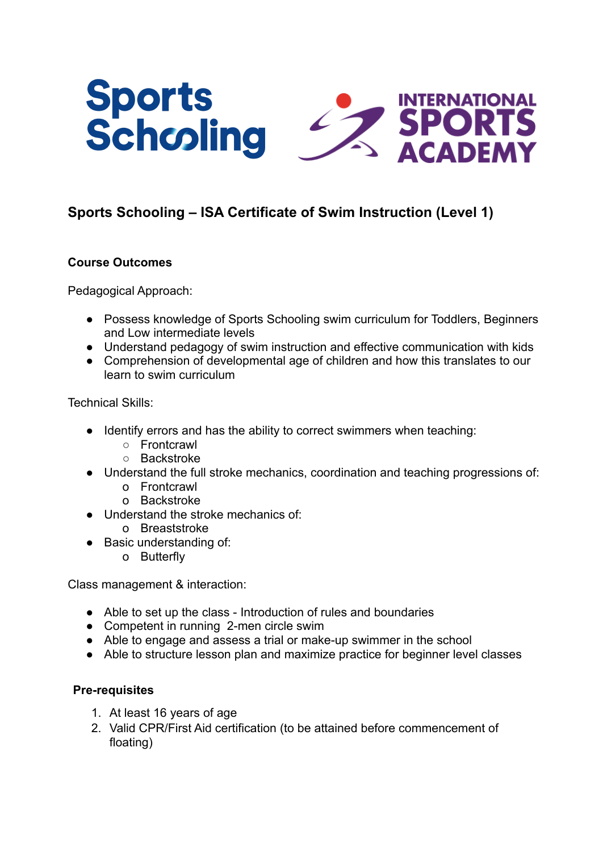

# **Sports Schooling – ISA Certificate of Swim Instruction (Level 1)**

# **Course Outcomes**

Pedagogical Approach:

- Possess knowledge of Sports Schooling swim curriculum for Toddlers, Beginners and Low intermediate levels
- Understand pedagogy of swim instruction and effective communication with kids
- Comprehension of developmental age of children and how this translates to our learn to swim curriculum

Technical Skills:

- Identify errors and has the ability to correct swimmers when teaching:
	- Frontcrawl
	- Backstroke
- Understand the full stroke mechanics, coordination and teaching progressions of:
	- o Frontcrawl
	- o Backstroke
- Understand the stroke mechanics of:
	- o Breaststroke
- Basic understanding of:
	- o Butterfly

Class management & interaction:

- Able to set up the class Introduction of rules and boundaries
- Competent in running 2-men circle swim
- Able to engage and assess a trial or make-up swimmer in the school
- Able to structure lesson plan and maximize practice for beginner level classes

### **Pre-requisites**

- 1. At least 16 years of age
- 2. Valid CPR/First Aid certification (to be attained before commencement of floating)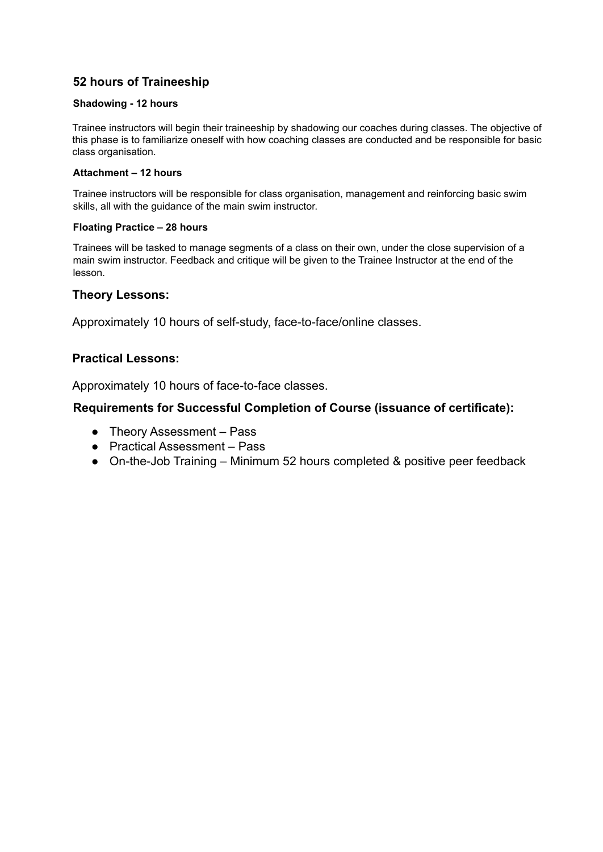# **52 hours of Traineeship**

#### **Shadowing - 12 hours**

Trainee instructors will begin their traineeship by shadowing our coaches during classes. The objective of this phase is to familiarize oneself with how coaching classes are conducted and be responsible for basic class organisation.

#### **Attachment – 12 hours**

Trainee instructors will be responsible for class organisation, management and reinforcing basic swim skills, all with the guidance of the main swim instructor.

#### **Floating Practice – 28 hours**

Trainees will be tasked to manage segments of a class on their own, under the close supervision of a main swim instructor. Feedback and critique will be given to the Trainee Instructor at the end of the lesson.

### **Theory Lessons:**

Approximately 10 hours of self-study, face-to-face/online classes.

### **Practical Lessons:**

Approximately 10 hours of face-to-face classes.

### **Requirements for Successful Completion of Course (issuance of certificate):**

- Theory Assessment Pass
- Practical Assessment Pass
- On-the-Job Training Minimum 52 hours completed & positive peer feedback